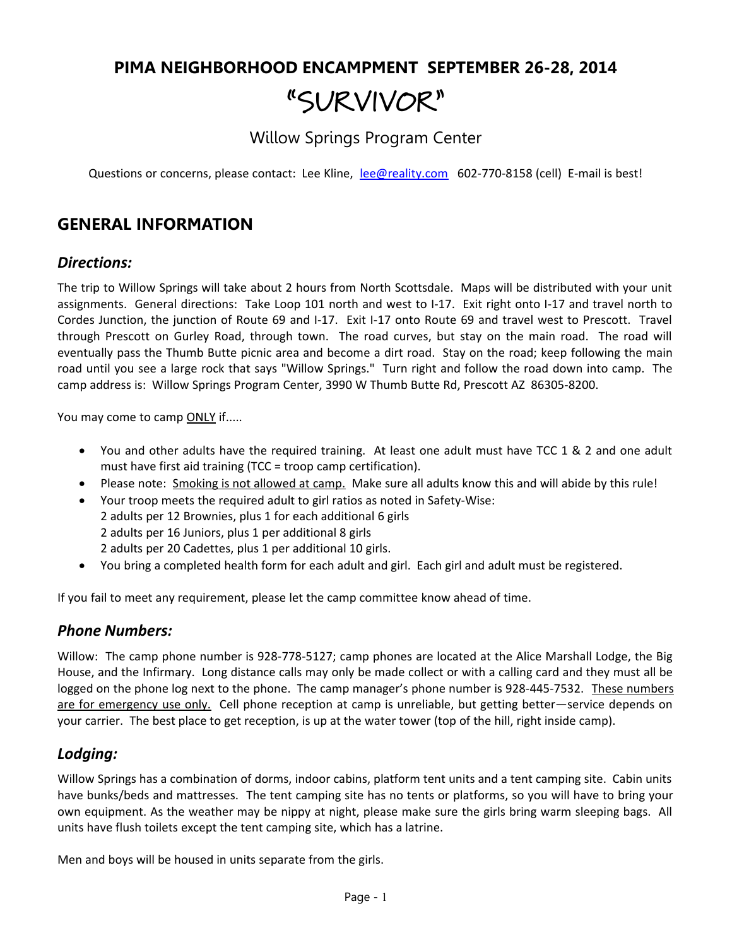# **PIMA NEIGHBORHOOD ENCAMPMENT SEPTEMBER 26-28, 2014 "SURVIVOR"**

Willow Springs Program Center

Questions or concerns, please contact: Lee Kline, lee@reality.com 602-770-8158 (cell) E-mail is best!

### **GENERAL INFORMATION**

### *Directions:*

The trip to Willow Springs will take about 2 hours from North Scottsdale. Maps will be distributed with your unit assignments. General directions: Take Loop 101 north and west to I-17. Exit right onto I-17 and travel north to Cordes Junction, the junction of Route 69 and I-17. Exit I-17 onto Route 69 and travel west to Prescott. Travel through Prescott on Gurley Road, through town. The road curves, but stay on the main road. The road will eventually pass the Thumb Butte picnic area and become a dirt road. Stay on the road; keep following the main road until you see a large rock that says "Willow Springs." Turn right and follow the road down into camp. The camp address is: Willow Springs Program Center, 3990 W Thumb Butte Rd, Prescott AZ 86305-8200.

You may come to camp ONLY if.....

- You and other adults have the required training. At least one adult must have TCC 1 & 2 and one adult must have first aid training (TCC = troop camp certification).
- Please note: Smoking is not allowed at camp. Make sure all adults know this and will abide by this rule!
- Your troop meets the required adult to girl ratios as noted in Safety-Wise: 2 adults per 12 Brownies, plus 1 for each additional 6 girls 2 adults per 16 Juniors, plus 1 per additional 8 girls 2 adults per 20 Cadettes, plus 1 per additional 10 girls.
- You bring a completed health form for each adult and girl. Each girl and adult must be registered.

If you fail to meet any requirement, please let the camp committee know ahead of time.

#### *Phone Numbers:*

Willow: The camp phone number is 928-778-5127; camp phones are located at the Alice Marshall Lodge, the Big House, and the Infirmary. Long distance calls may only be made collect or with a calling card and they must all be logged on the phone log next to the phone. The camp manager's phone number is 928-445-7532. These numbers are for emergency use only. Cell phone reception at camp is unreliable, but getting better—service depends on your carrier. The best place to get reception, is up at the water tower (top of the hill, right inside camp).

### *Lodging:*

Willow Springs has a combination of dorms, indoor cabins, platform tent units and a tent camping site. Cabin units have bunks/beds and mattresses. The tent camping site has no tents or platforms, so you will have to bring your own equipment. As the weather may be nippy at night, please make sure the girls bring warm sleeping bags. All units have flush toilets except the tent camping site, which has a latrine.

Men and boys will be housed in units separate from the girls.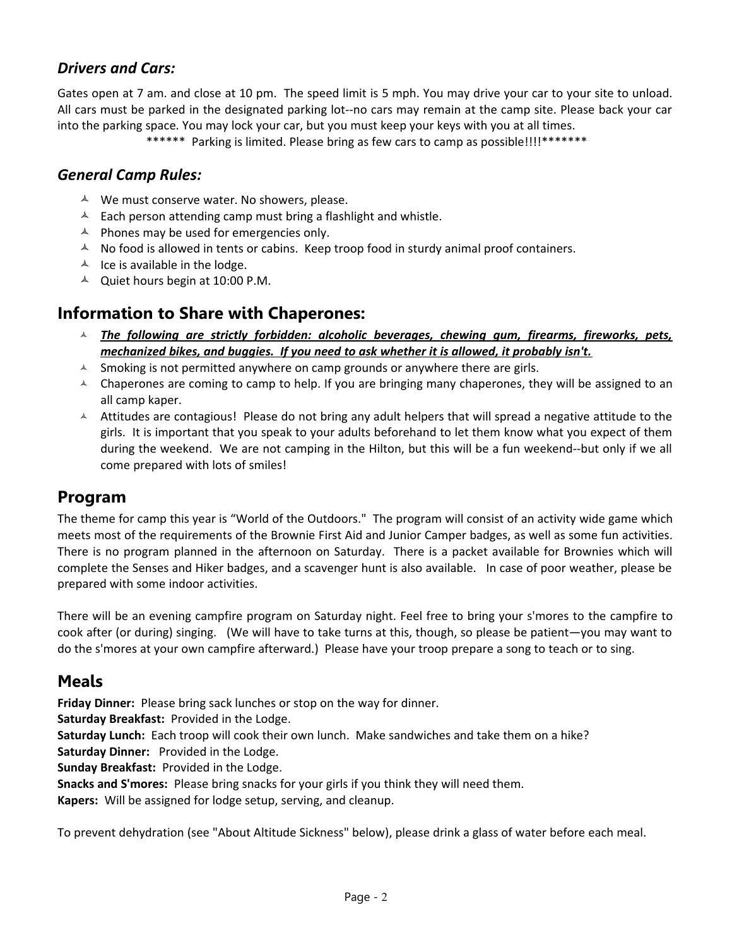### *Drivers and Cars:*

Gates open at 7 am. and close at 10 pm. The speed limit is 5 mph. You may drive your car to your site to unload. All cars must be parked in the designated parking lot--no cars may remain at the camp site. Please back your car into the parking space. You may lock your car, but you must keep your keys with you at all times.

\*\*\*\*\*\* Parking is limited. Please bring as few cars to camp as possible!!!!\*\*\*\*\*\*\*

### *General Camp Rules:*

- $\lambda$  We must conserve water. No showers, please.
- $\triangle$  Each person attending camp must bring a flashlight and whistle.
- $\triangle$  Phones may be used for emergencies only.
- $\uparrow$  No food is allowed in tents or cabins. Keep troop food in sturdy animal proof containers.
- $\overline{A}$  Ice is available in the lodge.
- $\triangle$  Quiet hours begin at 10:00 P.M.

### **Information to Share with Chaperones:**

- *The following are strictly forbidden: alcoholic beverages, chewing gum, firearms, fireworks, pets, mechanized bikes, and buggies. If you need to ask whether it is allowed, it probably isn't.*
- $\triangle$  Smoking is not permitted anywhere on camp grounds or anywhere there are girls.
- $\overline{A}$  Chaperones are coming to camp to help. If you are bringing many chaperones, they will be assigned to an all camp kaper.
- $\overline{A}$  Attitudes are contagious! Please do not bring any adult helpers that will spread a negative attitude to the girls. It is important that you speak to your adults beforehand to let them know what you expect of them during the weekend. We are not camping in the Hilton, but this will be a fun weekend--but only if we all come prepared with lots of smiles!

### **Program**

The theme for camp this year is "World of the Outdoors." The program will consist of an activity wide game which meets most of the requirements of the Brownie First Aid and Junior Camper badges, as well as some fun activities. There is no program planned in the afternoon on Saturday. There is a packet available for Brownies which will complete the Senses and Hiker badges, and a scavenger hunt is also available. In case of poor weather, please be prepared with some indoor activities.

There will be an evening campfire program on Saturday night. Feel free to bring your s'mores to the campfire to cook after (or during) singing. (We will have to take turns at this, though, so please be patient—you may want to do the s'mores at your own campfire afterward.) Please have your troop prepare a song to teach or to sing.

### **Meals**

**Friday Dinner:** Please bring sack lunches or stop on the way for dinner.

**Saturday Breakfast:** Provided in the Lodge.

**Saturday Lunch:** Each troop will cook their own lunch. Make sandwiches and take them on a hike?

**Saturday Dinner:** Provided in the Lodge.

**Sunday Breakfast:** Provided in the Lodge.

**Snacks and S'mores:** Please bring snacks for your girls if you think they will need them.

**Kapers:** Will be assigned for lodge setup, serving, and cleanup.

To prevent dehydration (see "About Altitude Sickness" below), please drink a glass of water before each meal.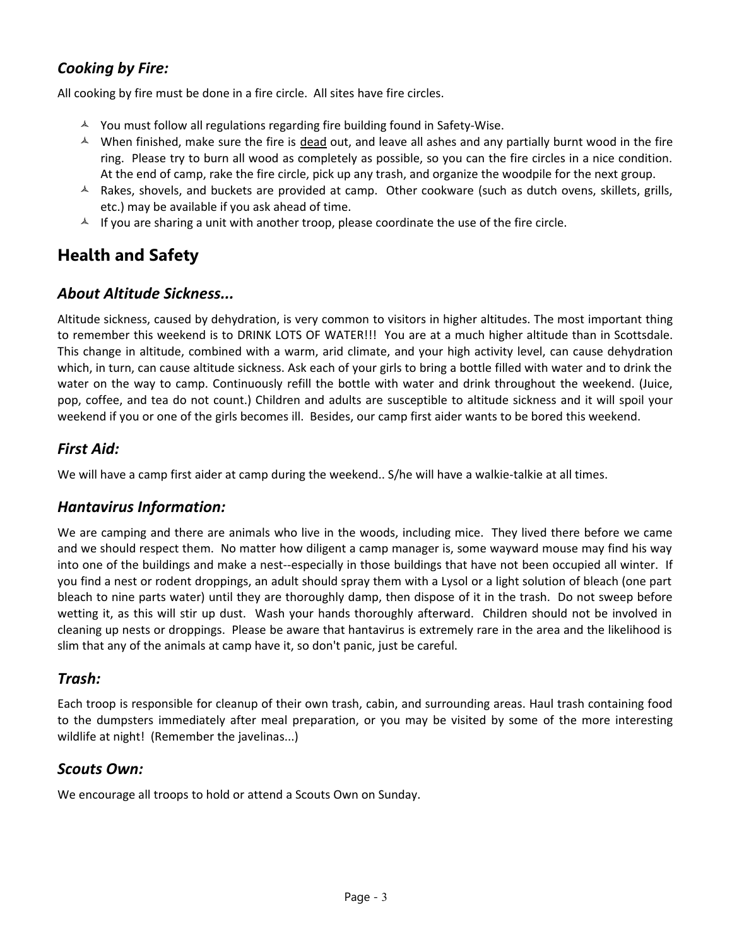### *Cooking by Fire:*

All cooking by fire must be done in a fire circle. All sites have fire circles.

- $\triangle$  You must follow all regulations regarding fire building found in Safety-Wise.
- $\sim$  When finished, make sure the fire is dead out, and leave all ashes and any partially burnt wood in the fire ring. Please try to burn all wood as completely as possible, so you can the fire circles in a nice condition. At the end of camp, rake the fire circle, pick up any trash, and organize the woodpile for the next group.
- $\triangle$  Rakes, shovels, and buckets are provided at camp. Other cookware (such as dutch ovens, skillets, grills, etc.) may be available if you ask ahead of time.
- $\uparrow$  If you are sharing a unit with another troop, please coordinate the use of the fire circle.

# **Health and Safety**

### *About Altitude Sickness...*

Altitude sickness, caused by dehydration, is very common to visitors in higher altitudes. The most important thing to remember this weekend is to DRINK LOTS OF WATER!!! You are at a much higher altitude than in Scottsdale. This change in altitude, combined with a warm, arid climate, and your high activity level, can cause dehydration which, in turn, can cause altitude sickness. Ask each of your girls to bring a bottle filled with water and to drink the water on the way to camp. Continuously refill the bottle with water and drink throughout the weekend. (Juice, pop, coffee, and tea do not count.) Children and adults are susceptible to altitude sickness and it will spoil your weekend if you or one of the girls becomes ill. Besides, our camp first aider wants to be bored this weekend.

### *First Aid:*

We will have a camp first aider at camp during the weekend.. S/he will have a walkie-talkie at all times.

### *Hantavirus Information:*

We are camping and there are animals who live in the woods, including mice. They lived there before we came and we should respect them. No matter how diligent a camp manager is, some wayward mouse may find his way into one of the buildings and make a nest--especially in those buildings that have not been occupied all winter. If you find a nest or rodent droppings, an adult should spray them with a Lysol or a light solution of bleach (one part bleach to nine parts water) until they are thoroughly damp, then dispose of it in the trash. Do not sweep before wetting it, as this will stir up dust. Wash your hands thoroughly afterward. Children should not be involved in cleaning up nests or droppings. Please be aware that hantavirus is extremely rare in the area and the likelihood is slim that any of the animals at camp have it, so don't panic, just be careful.

### *Trash:*

Each troop is responsible for cleanup of their own trash, cabin, and surrounding areas. Haul trash containing food to the dumpsters immediately after meal preparation, or you may be visited by some of the more interesting wildlife at night! (Remember the javelinas...)

### *Scouts Own:*

We encourage all troops to hold or attend a Scouts Own on Sunday.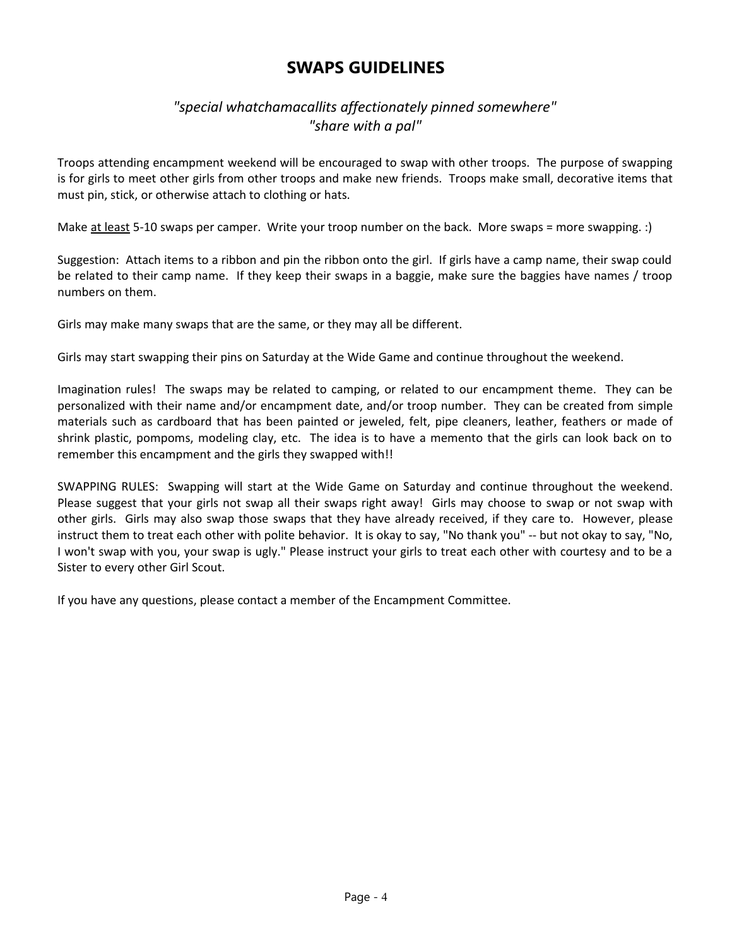## **SWAPS GUIDELINES**

### *"special whatchamacallits affectionately pinned somewhere" "share with a pal"*

Troops attending encampment weekend will be encouraged to swap with other troops. The purpose of swapping is for girls to meet other girls from other troops and make new friends. Troops make small, decorative items that must pin, stick, or otherwise attach to clothing or hats.

Make at least 5-10 swaps per camper. Write your troop number on the back. More swaps = more swapping. :)

Suggestion: Attach items to a ribbon and pin the ribbon onto the girl. If girls have a camp name, their swap could be related to their camp name. If they keep their swaps in a baggie, make sure the baggies have names / troop numbers on them.

Girls may make many swaps that are the same, or they may all be different.

Girls may start swapping their pins on Saturday at the Wide Game and continue throughout the weekend.

Imagination rules! The swaps may be related to camping, or related to our encampment theme. They can be personalized with their name and/or encampment date, and/or troop number. They can be created from simple materials such as cardboard that has been painted or jeweled, felt, pipe cleaners, leather, feathers or made of shrink plastic, pompoms, modeling clay, etc. The idea is to have a memento that the girls can look back on to remember this encampment and the girls they swapped with!!

SWAPPING RULES: Swapping will start at the Wide Game on Saturday and continue throughout the weekend. Please suggest that your girls not swap all their swaps right away! Girls may choose to swap or not swap with other girls. Girls may also swap those swaps that they have already received, if they care to. However, please instruct them to treat each other with polite behavior. It is okay to say, "No thank you" -- but not okay to say, "No, I won't swap with you, your swap is ugly." Please instruct your girls to treat each other with courtesy and to be a Sister to every other Girl Scout.

If you have any questions, please contact a member of the Encampment Committee.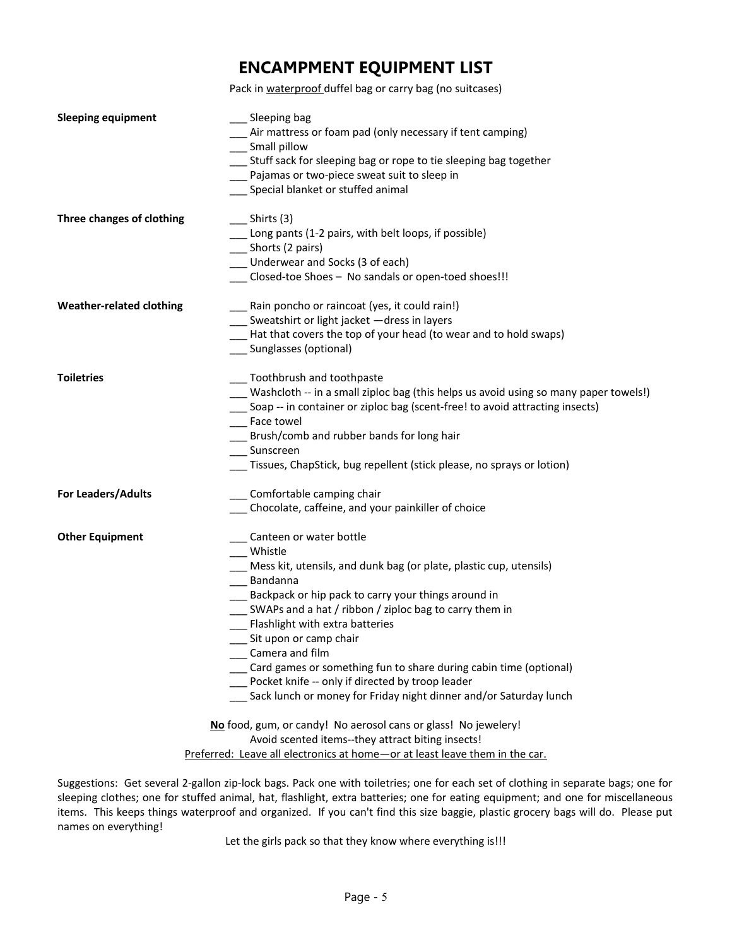## **ENCAMPMENT EQUIPMENT LIST**

Pack in waterproof duffel bag or carry bag (no suitcases)

| <b>Sleeping equipment</b>       | __ Sleeping bag                                                                          |
|---------------------------------|------------------------------------------------------------------------------------------|
|                                 | Air mattress or foam pad (only necessary if tent camping)                                |
|                                 | __ Small pillow                                                                          |
|                                 | __ Stuff sack for sleeping bag or rope to tie sleeping bag together                      |
|                                 | __ Pajamas or two-piece sweat suit to sleep in                                           |
|                                 | Special blanket or stuffed animal                                                        |
|                                 |                                                                                          |
| Three changes of clothing       | Shirts (3)                                                                               |
|                                 | __ Long pants (1-2 pairs, with belt loops, if possible)                                  |
|                                 | __ Shorts (2 pairs)                                                                      |
|                                 | _ Underwear and Socks (3 of each)                                                        |
|                                 | Closed-toe Shoes - No sandals or open-toed shoes!!!                                      |
| <b>Weather-related clothing</b> | Rain poncho or raincoat (yes, it could rain!)                                            |
|                                 | Sweatshirt or light jacket - dress in layers                                             |
|                                 | Hat that covers the top of your head (to wear and to hold swaps)                         |
|                                 | Sunglasses (optional)                                                                    |
| <b>Toiletries</b>               | __ Toothbrush and toothpaste                                                             |
|                                 | ___ Washcloth -- in a small ziploc bag (this helps us avoid using so many paper towels!) |
|                                 | __ Soap -- in container or ziploc bag (scent-free! to avoid attracting insects)          |
|                                 | __ Face towel                                                                            |
|                                 | Brush/comb and rubber bands for long hair                                                |
|                                 | Sunscreen                                                                                |
|                                 | Tissues, ChapStick, bug repellent (stick please, no sprays or lotion)                    |
| For Leaders/Adults              | Comfortable camping chair                                                                |
|                                 | Chocolate, caffeine, and your painkiller of choice                                       |
| <b>Other Equipment</b>          | Canteen or water bottle                                                                  |
|                                 | Whistle                                                                                  |
|                                 | Mess kit, utensils, and dunk bag (or plate, plastic cup, utensils)                       |
|                                 | Bandanna                                                                                 |
|                                 | Backpack or hip pack to carry your things around in                                      |
|                                 | __ SWAPs and a hat / ribbon / ziploc bag to carry them in                                |
|                                 | __ Flashlight with extra batteries                                                       |
|                                 | Sit upon or camp chair                                                                   |
|                                 | Camera and film                                                                          |
|                                 | Card games or something fun to share during cabin time (optional)                        |
|                                 | Pocket knife -- only if directed by troop leader                                         |
|                                 | Sack lunch or money for Friday night dinner and/or Saturday lunch                        |
|                                 | No food, gum, or candy! No aerosol cans or glass! No jewelery!                           |
|                                 | Avoid scented items--they attract biting insects!                                        |
|                                 | Preferred: Leave all electronics at home-or at least leave them in the car.              |

Suggestions: Get several 2-gallon zip-lock bags. Pack one with toiletries; one for each set of clothing in separate bags; one for sleeping clothes; one for stuffed animal, hat, flashlight, extra batteries; one for eating equipment; and one for miscellaneous items. This keeps things waterproof and organized. If you can't find this size baggie, plastic grocery bags will do. Please put names on everything!

Let the girls pack so that they know where everything is!!!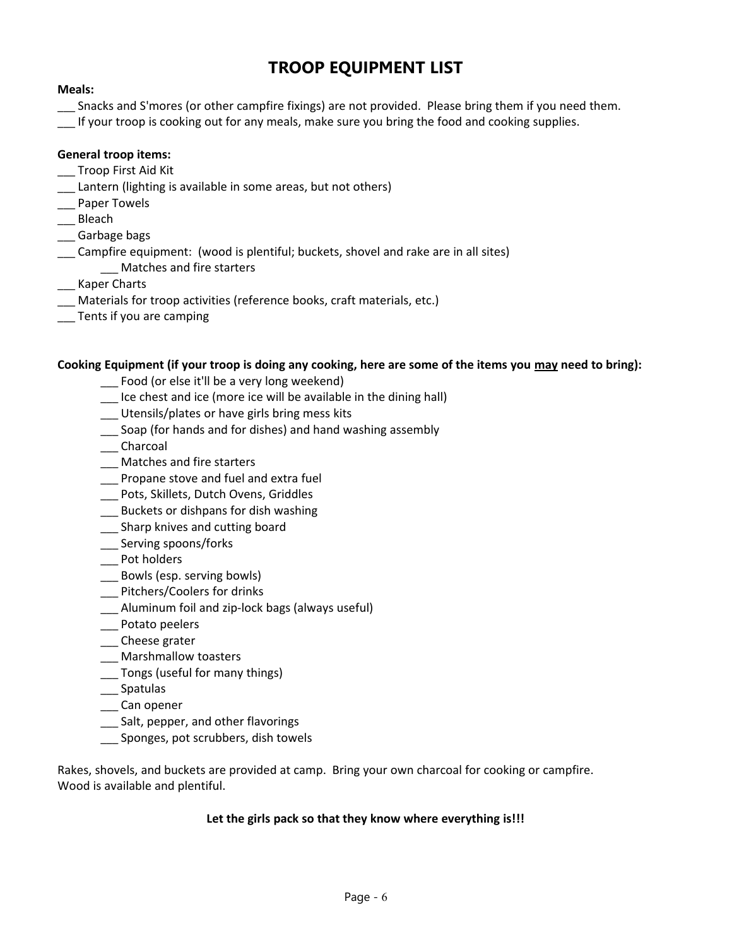# **TROOP EQUIPMENT LIST**

#### **Meals:**

- \_\_\_ Snacks and S'mores (or other campfire fixings) are not provided. Please bring them if you need them.
- \_\_\_ If your troop is cooking out for any meals, make sure you bring the food and cooking supplies.

#### **General troop items:**

- \_\_ Troop First Aid Kit
- \_\_\_ Lantern (lighting is available in some areas, but not others)
- \_\_\_ Paper Towels
- \_\_\_ Bleach
- \_\_\_ Garbage bags
- \_\_\_ Campfire equipment: (wood is plentiful; buckets, shovel and rake are in all sites) \_\_\_ Matches and fire starters
- \_\_\_ Kaper Charts
- \_\_\_ Materials for troop activities (reference books, craft materials, etc.)
- \_\_\_ Tents if you are camping

#### **Cooking Equipment (if your troop is doing any cooking, here are some of the items you may need to bring):**

- \_\_\_ Food (or else it'll be a very long weekend)
- \_\_\_ Ice chest and ice (more ice will be available in the dining hall)
- \_\_\_ Utensils/plates or have girls bring mess kits
- \_\_\_ Soap (for hands and for dishes) and hand washing assembly
- \_\_\_ Charcoal
- \_\_\_ Matches and fire starters
- \_\_\_ Propane stove and fuel and extra fuel
- \_\_\_ Pots, Skillets, Dutch Ovens, Griddles
- \_\_\_ Buckets or dishpans for dish washing
- \_\_ Sharp knives and cutting board
- \_\_\_ Serving spoons/forks
- \_\_\_ Pot holders
- \_\_\_ Bowls (esp. serving bowls)
- \_\_\_ Pitchers/Coolers for drinks
- \_\_\_ Aluminum foil and zip-lock bags (always useful)
- \_\_\_ Potato peelers
- \_\_\_ Cheese grater
- \_\_\_ Marshmallow toasters
- \_\_\_ Tongs (useful for many things)
- \_\_\_ Spatulas
- \_\_\_ Can opener
- \_\_\_ Salt, pepper, and other flavorings
- \_\_\_ Sponges, pot scrubbers, dish towels

Rakes, shovels, and buckets are provided at camp. Bring your own charcoal for cooking or campfire. Wood is available and plentiful.

#### **Let the girls pack so that they know where everything is!!!**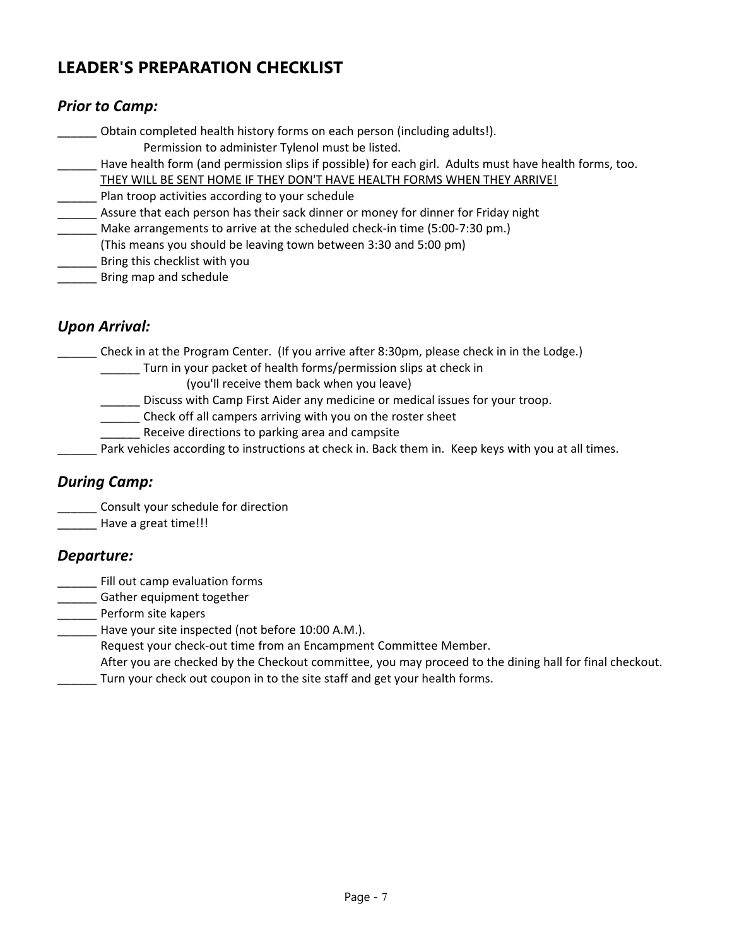# **LEADER'S PREPARATION CHECKLIST**

### *Prior to Camp:*

\_\_\_\_\_\_ Obtain completed health history forms on each person (including adults!). Permission to administer Tylenol must be listed.

- Have health form (and permission slips if possible) for each girl. Adults must have health forms, too.
	- THEY WILL BE SENT HOME IF THEY DON'T HAVE HEALTH FORMS WHEN THEY ARRIVE!
- Plan troop activities according to your schedule
- Assure that each person has their sack dinner or money for dinner for Friday night
- \_\_\_\_\_\_ Make arrangements to arrive at the scheduled check-in time (5:00-7:30 pm.)
- (This means you should be leaving town between 3:30 and 5:00 pm)
- \_\_\_\_\_\_ Bring this checklist with you
- \_\_\_\_\_\_ Bring map and schedule

### *Upon Arrival:*

\_\_\_\_\_\_ Check in at the Program Center. (If you arrive after 8:30pm, please check in in the Lodge.)

- \_\_\_\_\_\_ Turn in your packet of health forms/permission slips at check in
	- (you'll receive them back when you leave)
- \_\_\_\_\_\_ Discuss with Camp First Aider any medicine or medical issues for your troop.
- \_\_\_\_\_\_ Check off all campers arriving with you on the roster sheet
- \_\_\_\_\_\_ Receive directions to parking area and campsite
- Park vehicles according to instructions at check in. Back them in. Keep keys with you at all times.

### *During Camp:*

\_\_\_\_\_\_ Consult your schedule for direction

\_\_\_\_\_\_ Have a great time!!!

### *Departure:*

- \_\_\_\_\_\_ Fill out camp evaluation forms
- \_\_\_\_\_\_ Gather equipment together
- \_\_\_\_\_\_ Perform site kapers
- Have your site inspected (not before 10:00 A.M.).
	- Request your check-out time from an Encampment Committee Member.

After you are checked by the Checkout committee, you may proceed to the dining hall for final checkout.

Turn your check out coupon in to the site staff and get your health forms.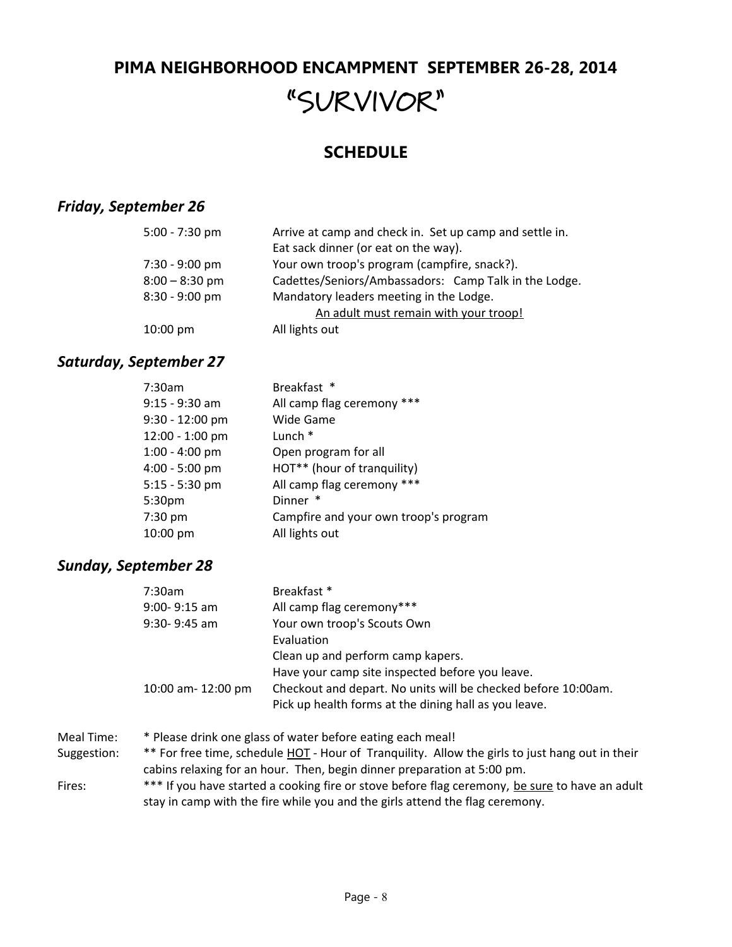# **PIMA NEIGHBORHOOD ENCAMPMENT SEPTEMBER 26-28, 2014 "SURVIVOR"**

# **SCHEDULE**

### *Friday, September 26*

| $5:00 - 7:30$ pm   | Arrive at camp and check in. Set up camp and settle in. |
|--------------------|---------------------------------------------------------|
|                    | Eat sack dinner (or eat on the way).                    |
| $7:30 - 9:00$ pm   | Your own troop's program (campfire, snack?).            |
| $8:00 - 8:30$ pm   | Cadettes/Seniors/Ambassadors: Camp Talk in the Lodge.   |
| $8:30 - 9:00$ pm   | Mandatory leaders meeting in the Lodge.                 |
|                    | An adult must remain with your troop!                   |
| $10:00 \text{ pm}$ | All lights out                                          |

### *Saturday, September 27*

| 7:30am           | Breakfast *                           |
|------------------|---------------------------------------|
| 9:15 - 9:30 am   | All camp flag ceremony ***            |
| 9:30 - 12:00 pm  | <b>Wide Game</b>                      |
| 12:00 - 1:00 pm  | Lunch *                               |
| $1:00 - 4:00$ pm | Open program for all                  |
| 4:00 - 5:00 pm   | HOT** (hour of tranquility)           |
| $5:15 - 5:30$ pm | All camp flag ceremony ***            |
| 5:30pm           | Dinner *                              |
| 7:30 pm          | Campfire and your own troop's program |
| 10:00 pm         | All lights out                        |
|                  |                                       |

### *Sunday, September 28*

|             | 7:30am                                                                                                                                                                     | Breakfast *                                                                                     |  |
|-------------|----------------------------------------------------------------------------------------------------------------------------------------------------------------------------|-------------------------------------------------------------------------------------------------|--|
|             | $9:00 - 9:15$ am                                                                                                                                                           | All camp flag ceremony***                                                                       |  |
|             | $9:30 - 9:45$ am                                                                                                                                                           | Your own troop's Scouts Own                                                                     |  |
|             |                                                                                                                                                                            | Evaluation                                                                                      |  |
|             |                                                                                                                                                                            | Clean up and perform camp kapers.                                                               |  |
|             |                                                                                                                                                                            | Have your camp site inspected before you leave.                                                 |  |
|             | 10:00 am- 12:00 pm                                                                                                                                                         | Checkout and depart. No units will be checked before 10:00am.                                   |  |
|             |                                                                                                                                                                            | Pick up health forms at the dining hall as you leave.                                           |  |
| Meal Time:  |                                                                                                                                                                            | * Please drink one glass of water before eating each meal!                                      |  |
| Suggestion: | ** For free time, schedule HOT - Hour of Tranquility. Allow the girls to just hang out in their<br>cabins relaxing for an hour. Then, begin dinner preparation at 5:00 pm. |                                                                                                 |  |
| Fires:      |                                                                                                                                                                            | $***$ if you hous started a cooking fire as stove before flag coromany, he sure to housen adult |  |

Fires: \*\*\* If you have started a cooking fire or stove before flag ceremony, be sure to have an adult stay in camp with the fire while you and the girls attend the flag ceremony.